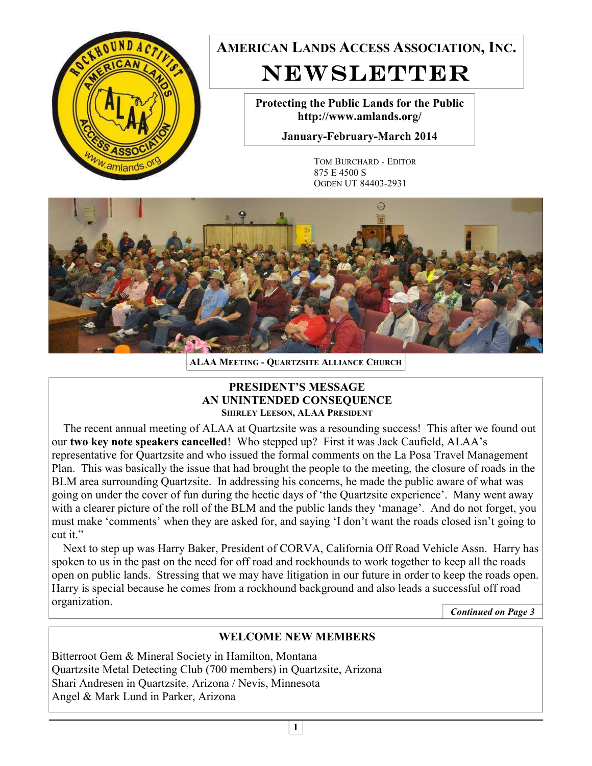

**AMERICAN LANDS ACCESS ASSOCIATION, INC.**  NEWSLETTER

> **Protecting the Public Lands for the Public http://www.amlands.org/**

**January-February-March 2014** 

TOM BURCHARD - EDITOR 875 E 4500 S OGDEN UT 84403-2931



**ALAA MEETING - QUARTZSITE ALLIANCE CHURCH**

#### **PRESIDENT'S MESSAGE AN UNINTENDED CONSEQUENCE SHIRLEY LEESON, ALAA PRESIDENT**

 The recent annual meeting of ALAA at Quartzsite was a resounding success! This after we found out our **two key note speakers cancelled**! Who stepped up? First it was Jack Caufield, ALAA's representative for Quartzsite and who issued the formal comments on the La Posa Travel Management Plan. This was basically the issue that had brought the people to the meeting, the closure of roads in the BLM area surrounding Quartzsite. In addressing his concerns, he made the public aware of what was going on under the cover of fun during the hectic days of 'the Quartzsite experience'. Many went away with a clearer picture of the roll of the BLM and the public lands they 'manage'. And do not forget, you must make 'comments' when they are asked for, and saying 'I don't want the roads closed isn't going to cut it."

 Next to step up was Harry Baker, President of CORVA, California Off Road Vehicle Assn. Harry has spoken to us in the past on the need for off road and rockhounds to work together to keep all the roads open on public lands. Stressing that we may have litigation in our future in order to keep the roads open. Harry is special because he comes from a rockhound background and also leads a successful off road organization.

*Continued on Page 3* 

# **WELCOME NEW MEMBERS**

Bitterroot Gem & Mineral Society in Hamilton, Montana Quartzsite Metal Detecting Club (700 members) in Quartzsite, Arizona Shari Andresen in Quartzsite, Arizona / Nevis, Minnesota Angel & Mark Lund in Parker, Arizona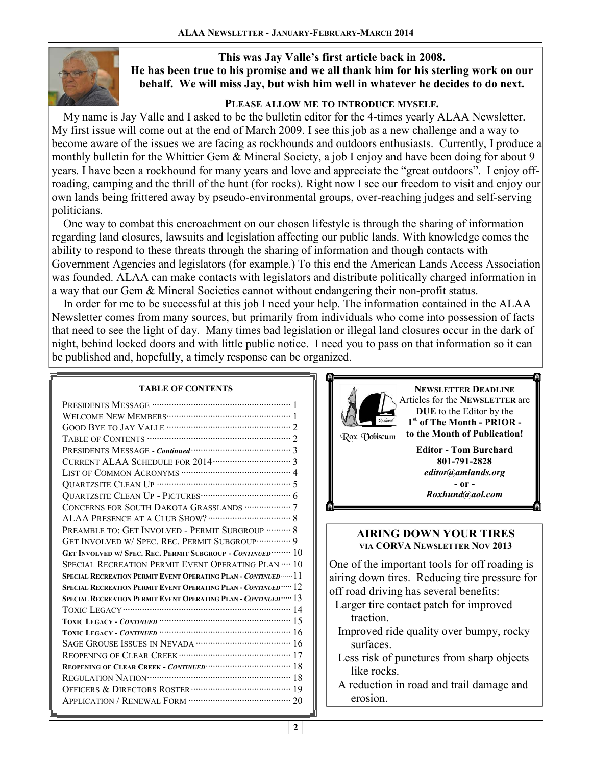

### **This was Jay Valle's first article back in 2008. He has been true to his promise and we all thank him for his sterling work on our behalf. We will miss Jay, but wish him well in whatever he decides to do next.**

## **PLEASE ALLOW ME TO INTRODUCE MYSELF.**

 My name is Jay Valle and I asked to be the bulletin editor for the 4-times yearly ALAA Newsletter. My first issue will come out at the end of March 2009. I see this job as a new challenge and a way to become aware of the issues we are facing as rockhounds and outdoors enthusiasts. Currently, I produce a monthly bulletin for the Whittier Gem & Mineral Society, a job I enjoy and have been doing for about 9 years. I have been a rockhound for many years and love and appreciate the "great outdoors". I enjoy offroading, camping and the thrill of the hunt (for rocks). Right now I see our freedom to visit and enjoy our own lands being frittered away by pseudo-environmental groups, over-reaching judges and self-serving politicians.

 One way to combat this encroachment on our chosen lifestyle is through the sharing of information regarding land closures, lawsuits and legislation affecting our public lands. With knowledge comes the ability to respond to these threats through the sharing of information and though contacts with Government Agencies and legislators (for example.) To this end the American Lands Access Association was founded. ALAA can make contacts with legislators and distribute politically charged information in a way that our Gem & Mineral Societies cannot without endangering their non-profit status.

 In order for me to be successful at this job I need your help. The information contained in the ALAA Newsletter comes from many sources, but primarily from individuals who come into possession of facts that need to see the light of day. Many times bad legislation or illegal land closures occur in the dark of night, behind locked doors and with little public notice. I need you to pass on that information so it can be published and, hopefully, a timely response can be organized.

#### **TABLE OF CONTENTS**

| CONCERNS FOR SOUTH DAKOTA GRASSLANDS ··················· 7     |
|----------------------------------------------------------------|
|                                                                |
| PREAMBLE TO: GET INVOLVED - PERMIT SUBGROUP ………. 8             |
| GET INVOLVED W/ SPEC. REC. PERMIT SUBGROUP ··············· 9   |
| GET INVOLVED W/ SPEC. REC. PERMIT SUBGROUP - CONTINUED  10     |
| SPECIAL RECREATION PERMIT EVENT OPERATING PLAN  10             |
| SPECIAL RECREATION PERMIT EVENT OPERATING PLAN - CONTINUED  11 |
| SPECIAL RECREATION PERMIT EVENT OPERATING PLAN - CONTINUED  12 |
| SPECIAL RECREATION PERMIT EVENT OPERATING PLAN - CONTINUED  13 |
|                                                                |
|                                                                |
|                                                                |
|                                                                |
|                                                                |
|                                                                |
|                                                                |
|                                                                |
|                                                                |



**NEWSLETTER DEADLINE** Articles for the **NEWSLETTER** are **DUE** to the Editor by the **1 st of The Month - PRIOR to the Month of Publication!** 

Rox (Yobiscum

**Editor - Tom Burchard 801-791-2828**  *editor@amlands.org*  **- or -**  *Roxhund@aol.com* 

### **AIRING DOWN YOUR TIRES VIA CORVA NEWSLETTER NOV 2013**

One of the important tools for off roading is airing down tires. Reducing tire pressure for off road driving has several benefits:

- Larger tire contact patch for improved traction.
- Improved ride quality over bumpy, rocky surfaces.
- Less risk of punctures from sharp objects like rocks.
- A reduction in road and trail damage and erosion.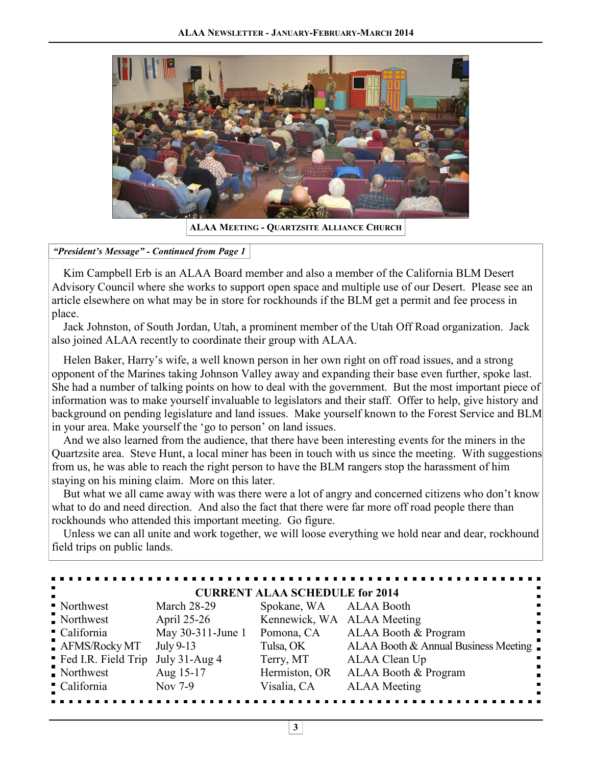

**ALAA MEETING - QUARTZSITE ALLIANCE CHURCH**

#### *"President's Message" - Continued from Page 1*

 Kim Campbell Erb is an ALAA Board member and also a member of the California BLM Desert Advisory Council where she works to support open space and multiple use of our Desert. Please see an article elsewhere on what may be in store for rockhounds if the BLM get a permit and fee process in place.

 Jack Johnston, of South Jordan, Utah, a prominent member of the Utah Off Road organization. Jack also joined ALAA recently to coordinate their group with ALAA. Ĭ

 Helen Baker, Harry's wife, a well known person in her own right on off road issues, and a strong opponent of the Marines taking Johnson Valley away and expanding their base even further, spoke last. She had a number of talking points on how to deal with the government. But the most important piece of information was to make yourself invaluable to legislators and their staff. Offer to help, give history and background on pending legislature and land issues. Make yourself known to the Forest Service and BLM in your area. Make yourself the 'go to person' on land issues.

 And we also learned from the audience, that there have been interesting events for the miners in the Quartzsite area. Steve Hunt, a local miner has been in touch with us since the meeting. With suggestions from us, he was able to reach the right person to have the BLM rangers stop the harassment of him staying on his mining claim. More on this later.

 But what we all came away with was there were a lot of angry and concerned citizens who don't know what to do and need direction. And also the fact that there were far more off road people there than rockhounds who attended this important meeting. Go figure.

 Unless we can all unite and work together, we will loose everything we hold near and dear, rockhound field trips on public lands.

| <b>CURRENT ALAA SCHEDULE for 2014</b> |                    |                            |                                      |  |
|---------------------------------------|--------------------|----------------------------|--------------------------------------|--|
| • Northwest                           | <b>March 28-29</b> | Spokane, WA ALAA Booth     |                                      |  |
| Northwest                             | April 25-26        | Kennewick, WA ALAA Meeting |                                      |  |
| California                            | May 30-311-June 1  | Pomona, CA                 | ALAA Booth & Program                 |  |
| AFMS/Rocky MT                         | July 9-13          | Tulsa, OK                  | ALAA Booth & Annual Business Meeting |  |
| " Fed I.R. Field Trip                 | July $31$ -Aug 4   | Terry, MT                  | ALAA Clean Up                        |  |
| $\blacksquare$ Northwest              | Aug 15-17          | Hermiston, OR              | ALAA Booth & Program                 |  |
| California                            | Nov 7-9            | Visalia, CA                | <b>ALAA</b> Meeting                  |  |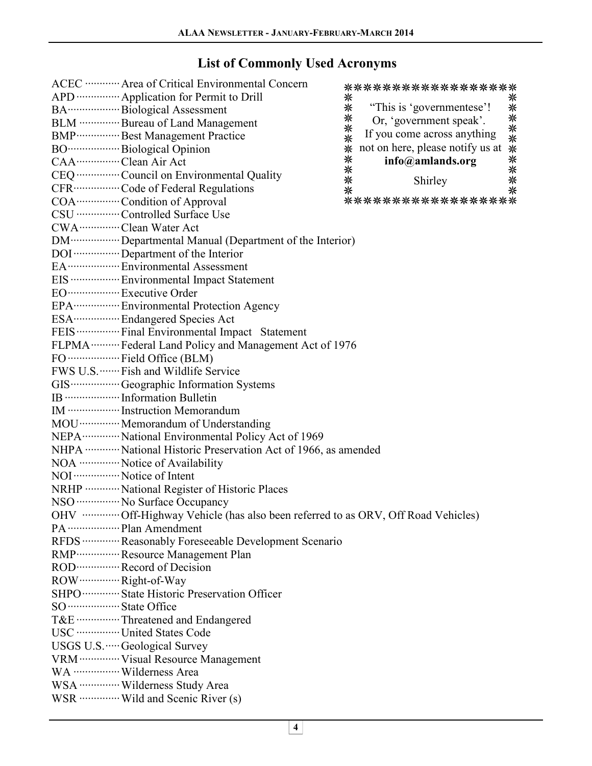# **List of Commonly Used Acronyms**

|                                      | ACEC ············ Area of Critical Environmental Concern<br>APD ··············· Application for Permit to Drill<br>BA ······················ Biological Assessment<br>BLM ··············· Bureau of Land Management<br>BMP ················ Best Management Practice<br>CAA ················· Clean Air Act<br>CEQ ················ Council on Environmental Quality<br>CFR ················· Code of Federal Regulations<br>COA ················ Condition of Approval<br>CSU ················ Controlled Surface Use<br>CWA ················ Clean Water Act                                                | **<br>⋇<br>**<br>⋇<br>米米<br>⋇<br>∗ | *******************<br>米<br>**********<br>"This is 'governmentese'!<br>Or, 'government speak'.<br>If you come across anything<br>not on here, please notify us at<br>info@amlands.org<br>Shirley<br>****************** |
|--------------------------------------|---------------------------------------------------------------------------------------------------------------------------------------------------------------------------------------------------------------------------------------------------------------------------------------------------------------------------------------------------------------------------------------------------------------------------------------------------------------------------------------------------------------------------------------------------------------------------------------------------------------|------------------------------------|------------------------------------------------------------------------------------------------------------------------------------------------------------------------------------------------------------------------|
|                                      | DM ··················· Departmental Manual (Department of the Interior)<br>DOI  Department of the Interior<br>EA ··················· Environmental Assessment<br>EIS ·················· Environmental Impact Statement<br>EO ···················· Executive Order<br>EPA ·················· Environmental Protection Agency<br>ESA ·················· Endangered Species Act<br>FEIS ················· Final Environmental Impact Statement<br>FLPMA  Federal Land Policy and Management Act of 1976<br>FO  Field Office (BLM)<br>FWS U.S. ······· Fish and Wildlife Service                                  |                                    |                                                                                                                                                                                                                        |
|                                      | IB ····················· Information Bulletin<br>IM ·················· Instruction Memorandum<br>MOU ··············· Memorandum of Understanding<br>NEPA ·············· National Environmental Policy Act of 1969<br>NHPA ············· National Historic Preservation Act of 1966, as amended<br>NOA  Notice of Availability<br>NOI ················· Notice of Intent<br>NRHP ············ National Register of Historic Places<br>NSO ················ No Surface Occupancy<br>OHV  Off-Highway Vehicle (has also been referred to as ORV, Off Road Vehicles)<br>PA ······················· Plan Amendment |                                    |                                                                                                                                                                                                                        |
| SO ···················· State Office | RFDS  Reasonably Foreseeable Development Scenario<br>RMP ················ Resource Management Plan<br>ROD ················· Record of Decision<br>ROW ················ Right-of-Way<br>SHPO ·············· State Historic Preservation Officer<br>T&E  Threatened and Endangered<br>USC ·················· United States Code<br>USGS U.S. ····· Geological Survey<br>VRM ·············· Visual Resource Management<br>WA ················· Wilderness Area<br>WSA ··············· Wilderness Study Area<br>WSR ··············· Wild and Scenic River (s)                                                     |                                    |                                                                                                                                                                                                                        |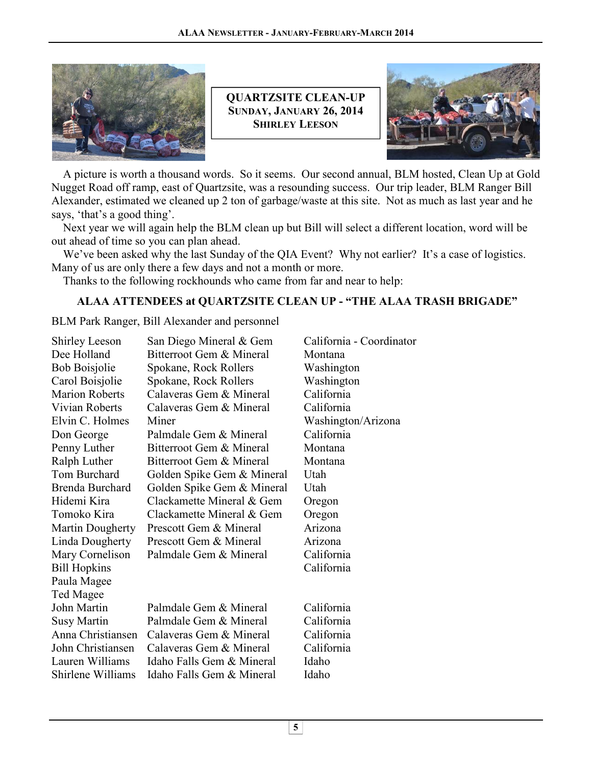![](_page_4_Picture_1.jpeg)

**QUARTZSITE CLEAN-UP SUNDAY, JANUARY 26, 2014 SHIRLEY LEESON**

![](_page_4_Picture_3.jpeg)

 A picture is worth a thousand words. So it seems. Our second annual, BLM hosted, Clean Up at Gold Nugget Road off ramp, east of Quartzsite, was a resounding success. Our trip leader, BLM Ranger Bill Alexander, estimated we cleaned up 2 ton of garbage/waste at this site. Not as much as last year and he says, 'that's a good thing'.

 Next year we will again help the BLM clean up but Bill will select a different location, word will be out ahead of time so you can plan ahead.

 We've been asked why the last Sunday of the QIA Event? Why not earlier? It's a case of logistics. Many of us are only there a few days and not a month or more.

Thanks to the following rockhounds who came from far and near to help:

## **ALAA ATTENDEES at QUARTZSITE CLEAN UP - "THE ALAA TRASH BRIGADE"**

BLM Park Ranger, Bill Alexander and personnel Î

| <b>Shirley Leeson</b> | San Diego Mineral & Gem    | California - Coordinator |
|-----------------------|----------------------------|--------------------------|
| Dee Holland           | Bitterroot Gem & Mineral   | Montana                  |
| <b>Bob Boisjolie</b>  | Spokane, Rock Rollers      | Washington               |
| Carol Boisjolie       | Spokane, Rock Rollers      | Washington               |
| <b>Marion Roberts</b> | Calaveras Gem & Mineral    | California               |
| Vivian Roberts        | Calaveras Gem & Mineral    | California               |
| Elvin C. Holmes       | Miner                      | Washington/Arizona       |
| Don George            | Palmdale Gem & Mineral     | California               |
| Penny Luther          | Bitterroot Gem & Mineral   | Montana                  |
| Ralph Luther          | Bitterroot Gem & Mineral   | Montana                  |
| Tom Burchard          | Golden Spike Gem & Mineral | Utah                     |
| Brenda Burchard       | Golden Spike Gem & Mineral | Utah                     |
| Hidemi Kira           | Clackamette Mineral & Gem  | Oregon                   |
| Tomoko Kira           | Clackamette Mineral & Gem  | Oregon                   |
| Martin Dougherty      | Prescott Gem & Mineral     | Arizona                  |
| Linda Dougherty       | Prescott Gem & Mineral     | Arizona                  |
| Mary Cornelison       | Palmdale Gem & Mineral     | California               |
| <b>Bill Hopkins</b>   |                            | California               |
| Paula Magee           |                            |                          |
| Ted Magee             |                            |                          |
| John Martin           | Palmdale Gem & Mineral     | California               |
| <b>Susy Martin</b>    | Palmdale Gem & Mineral     | California               |
| Anna Christiansen     | Calaveras Gem & Mineral    | California               |
| John Christiansen     | Calaveras Gem & Mineral    | California               |
| Lauren Williams       | Idaho Falls Gem & Mineral  | Idaho                    |
| Shirlene Williams     | Idaho Falls Gem & Mineral  | Idaho                    |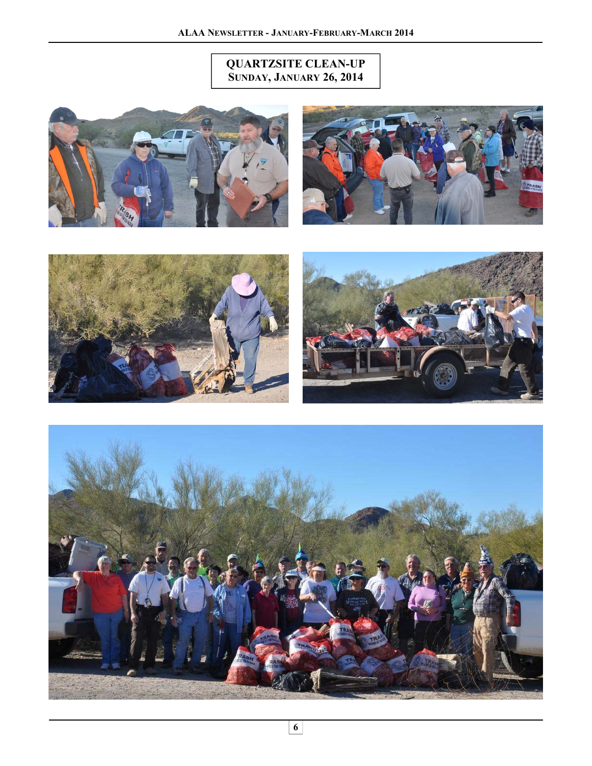# **QUARTZSITE CLEAN-UP SUNDAY, JANUARY 26, 2014**

![](_page_5_Picture_2.jpeg)

![](_page_5_Picture_3.jpeg)

![](_page_5_Picture_4.jpeg)

![](_page_5_Picture_5.jpeg)

![](_page_5_Picture_6.jpeg)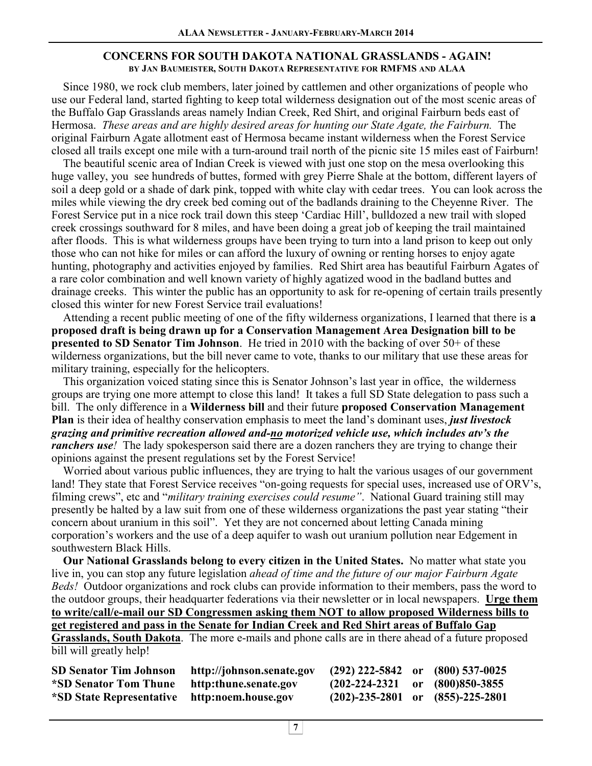#### **CONCERNS FOR SOUTH DAKOTA NATIONAL GRASSLANDS - AGAIN! BY JAN BAUMEISTER, SOUTH DAKOTA REPRESENTATIVE FOR RMFMS AND ALAA**

 Since 1980, we rock club members, later joined by cattlemen and other organizations of people who use our Federal land, started fighting to keep total wilderness designation out of the most scenic areas of the Buffalo Gap Grasslands areas namely Indian Creek, Red Shirt, and original Fairburn beds east of Hermosa. *These areas and are highly desired areas for hunting our State Agate, the Fairburn.* The original Fairburn Agate allotment east of Hermosa became instant wilderness when the Forest Service closed all trails except one mile with a turn-around trail north of the picnic site 15 miles east of Fairburn!

 The beautiful scenic area of Indian Creek is viewed with just one stop on the mesa overlooking this huge valley, you see hundreds of buttes, formed with grey Pierre Shale at the bottom, different layers of soil a deep gold or a shade of dark pink, topped with white clay with cedar trees. You can look across the miles while viewing the dry creek bed coming out of the badlands draining to the Cheyenne River. The Forest Service put in a nice rock trail down this steep 'Cardiac Hill', bulldozed a new trail with sloped creek crossings southward for 8 miles, and have been doing a great job of keeping the trail maintained after floods. This is what wilderness groups have been trying to turn into a land prison to keep out only those who can not hike for miles or can afford the luxury of owning or renting horses to enjoy agate hunting, photography and activities enjoyed by families. Red Shirt area has beautiful Fairburn Agates of a rare color combination and well known variety of highly agatized wood in the badland buttes and drainage creeks. This winter the public has an opportunity to ask for re-opening of certain trails presently closed this winter for new Forest Service trail evaluations!

 Attending a recent public meeting of one of the fifty wilderness organizations, I learned that there is **a proposed draft is being drawn up for a Conservation Management Area Designation bill to be presented to SD Senator Tim Johnson**. He tried in 2010 with the backing of over 50+ of these wilderness organizations, but the bill never came to vote, thanks to our military that use these areas for military training, especially for the helicopters.

 This organization voiced stating since this is Senator Johnson's last year in office, the wilderness groups are trying one more attempt to close this land! It takes a full SD State delegation to pass such a bill. The only difference in a **Wilderness bill** and their future **proposed Conservation Management Plan** is their idea of healthy conservation emphasis to meet the land's dominant uses, *just livestock grazing and primitive recreation allowed and-no motorized vehicle use, which includes atv's the ranchers use!* The lady spokesperson said there are a dozen ranchers they are trying to change their opinions against the present regulations set by the Forest Service!

 Worried about various public influences, they are trying to halt the various usages of our government land! They state that Forest Service receives "on-going requests for special uses, increased use of ORV's, filming crews", etc and "*military training exercises could resume"*. National Guard training still may presently be halted by a law suit from one of these wilderness organizations the past year stating "their concern about uranium in this soil". Yet they are not concerned about letting Canada mining corporation's workers and the use of a deep aquifer to wash out uranium pollution near Edgement in southwestern Black Hills.

 **Our National Grasslands belong to every citizen in the United States.** No matter what state you live in, you can stop any future legislation *ahead of time and the future of our major Fairburn Agate Beds!* Outdoor organizations and rock clubs can provide information to their members, pass the word to the outdoor groups, their headquarter federations via their newsletter or in local newspapers. **Urge them to write/call/e-mail our SD Congressmen asking them NOT to allow proposed Wilderness bills to get registered and pass in the Senate for Indian Creek and Red Shirt areas of Buffalo Gap Grasslands, South Dakota**. The more e-mails and phone calls are in there ahead of a future proposed

bill will greatly help!

| <b>SD Senator Tim Johnson</b>                | http://johnson.senate.gov | $(292)$ 222-5842 or $(800)$ 537-0025      |  |
|----------------------------------------------|---------------------------|-------------------------------------------|--|
| *SD Senator Tom Thune                        | http:thune.senate.gov     | $(202-224-2321 \text{ or } (800)850-3855$ |  |
| *SD State Representative http:noem.house.gov |                           | $(202)$ -235-2801 or $(855)$ -225-2801    |  |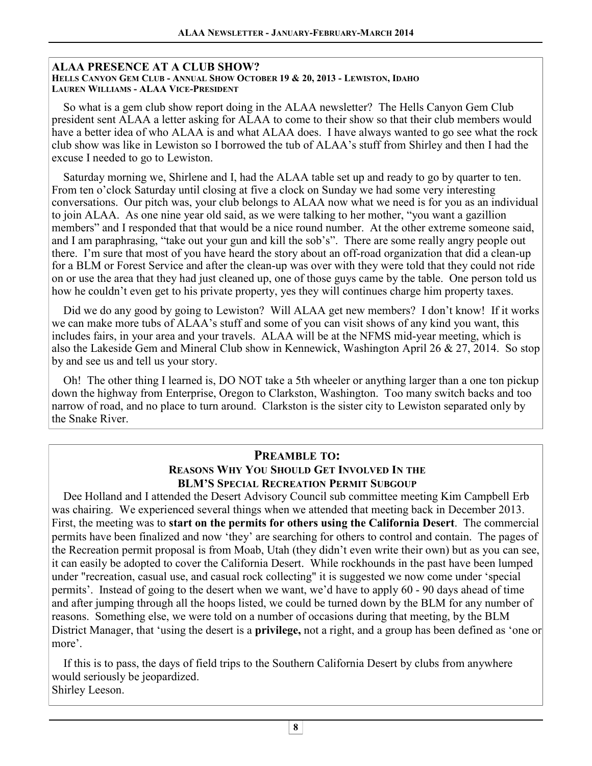### **ALAA PRESENCE AT A CLUB SHOW?**

**HELLS CANYON GEM CLUB - ANNUAL SHOW OCTOBER 19 & 20, 2013 - LEWISTON, IDAHO LAUREN WILLIAMS - ALAA VICE-PRESIDENT**

 So what is a gem club show report doing in the ALAA newsletter? The Hells Canyon Gem Club president sent ALAA a letter asking for ALAA to come to their show so that their club members would have a better idea of who ALAA is and what ALAA does. I have always wanted to go see what the rock club show was like in Lewiston so I borrowed the tub of ALAA's stuff from Shirley and then I had the excuse I needed to go to Lewiston.

 Saturday morning we, Shirlene and I, had the ALAA table set up and ready to go by quarter to ten. From ten o'clock Saturday until closing at five a clock on Sunday we had some very interesting conversations. Our pitch was, your club belongs to ALAA now what we need is for you as an individual to join ALAA. As one nine year old said, as we were talking to her mother, "you want a gazillion members" and I responded that that would be a nice round number. At the other extreme someone said, and I am paraphrasing, "take out your gun and kill the sob's". There are some really angry people out there. I'm sure that most of you have heard the story about an off-road organization that did a clean-up for a BLM or Forest Service and after the clean-up was over with they were told that they could not ride on or use the area that they had just cleaned up, one of those guys came by the table. One person told us how he couldn't even get to his private property, yes they will continues charge him property taxes.

Did we do any good by going to Lewiston? Will ALAA get new members? I don't know! If it works we can make more tubs of ALAA's stuff and some of you can visit shows of any kind you want, this includes fairs, in your area and your travels. ALAA will be at the NFMS mid-year meeting, which is also the Lakeside Gem and Mineral Club show in Kennewick, Washington April 26 & 27, 2014. So stop by and see us and tell us your story.

 Oh! The other thing I learned is, DO NOT take a 5th wheeler or anything larger than a one ton pickup down the highway from Enterprise, Oregon to Clarkston, Washington. Too many switch backs and too narrow of road, and no place to turn around. Clarkston is the sister city to Lewiston separated only by the Snake River.

## **PREAMBLE TO: REASONS WHY YOU SHOULD GET INVOLVED IN THE BLM'S SPECIAL RECREATION PERMIT SUBGOUP**

 Dee Holland and I attended the Desert Advisory Council sub committee meeting Kim Campbell Erb was chairing. We experienced several things when we attended that meeting back in December 2013. First, the meeting was to **start on the permits for others using the California Desert**. The commercial permits have been finalized and now 'they' are searching for others to control and contain. The pages of the Recreation permit proposal is from Moab, Utah (they didn't even write their own) but as you can see, it can easily be adopted to cover the California Desert. While rockhounds in the past have been lumped under "recreation, casual use, and casual rock collecting" it is suggested we now come under 'special permits'. Instead of going to the desert when we want, we'd have to apply 60 - 90 days ahead of time and after jumping through all the hoops listed, we could be turned down by the BLM for any number of reasons. Something else, we were told on a number of occasions during that meeting, by the BLM District Manager, that 'using the desert is a **privilege,** not a right, and a group has been defined as 'one or more'.

 If this is to pass, the days of field trips to the Southern California Desert by clubs from anywhere would seriously be jeopardized. Shirley Leeson.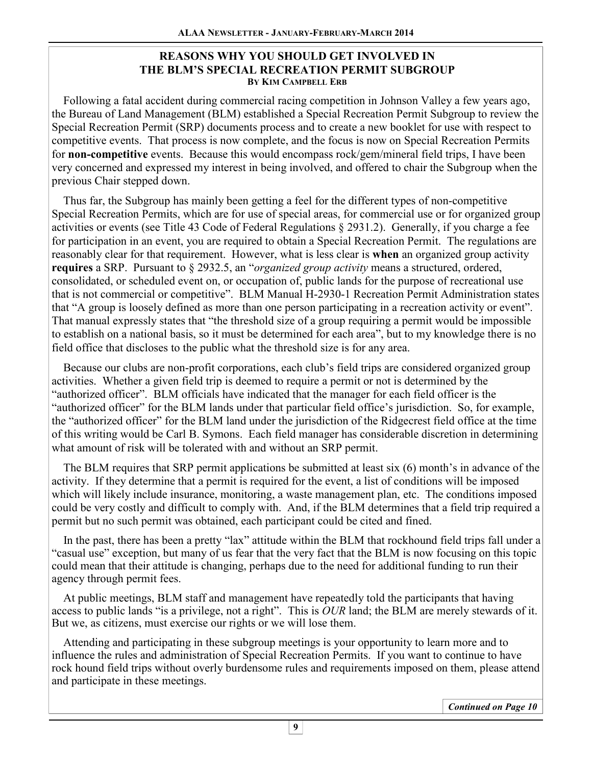### **REASONS WHY YOU SHOULD GET INVOLVED IN THE BLM'S SPECIAL RECREATION PERMIT SUBGROUP BY KIM CAMPBELL ERB**

 Following a fatal accident during commercial racing competition in Johnson Valley a few years ago, the Bureau of Land Management (BLM) established a Special Recreation Permit Subgroup to review the Special Recreation Permit (SRP) documents process and to create a new booklet for use with respect to competitive events. That process is now complete, and the focus is now on Special Recreation Permits for **non-competitive** events. Because this would encompass rock/gem/mineral field trips, I have been very concerned and expressed my interest in being involved, and offered to chair the Subgroup when the previous Chair stepped down.

 Thus far, the Subgroup has mainly been getting a feel for the different types of non-competitive Special Recreation Permits, which are for use of special areas, for commercial use or for organized group activities or events (see Title 43 Code of Federal Regulations § 2931.2). Generally, if you charge a fee for participation in an event, you are required to obtain a Special Recreation Permit. The regulations are reasonably clear for that requirement. However, what is less clear is **when** an organized group activity **requires** a SRP. Pursuant to § 2932.5, an "*organized group activity* means a structured, ordered, consolidated, or scheduled event on, or occupation of, public lands for the purpose of recreational use that is not commercial or competitive". BLM Manual H-2930-1 Recreation Permit Administration states that "A group is loosely defined as more than one person participating in a recreation activity or event". That manual expressly states that "the threshold size of a group requiring a permit would be impossible to establish on a national basis, so it must be determined for each area", but to my knowledge there is no field office that discloses to the public what the threshold size is for any area.

 Because our clubs are non-profit corporations, each club's field trips are considered organized group activities. Whether a given field trip is deemed to require a permit or not is determined by the "authorized officer". BLM officials have indicated that the manager for each field officer is the "authorized officer" for the BLM lands under that particular field office's jurisdiction. So, for example, the "authorized officer" for the BLM land under the jurisdiction of the Ridgecrest field office at the time of this writing would be Carl B. Symons. Each field manager has considerable discretion in determining what amount of risk will be tolerated with and without an SRP permit.

 The BLM requires that SRP permit applications be submitted at least six (6) month's in advance of the activity. If they determine that a permit is required for the event, a list of conditions will be imposed which will likely include insurance, monitoring, a waste management plan, etc. The conditions imposed could be very costly and difficult to comply with. And, if the BLM determines that a field trip required a permit but no such permit was obtained, each participant could be cited and fined.

 In the past, there has been a pretty "lax" attitude within the BLM that rockhound field trips fall under a "casual use" exception, but many of us fear that the very fact that the BLM is now focusing on this topic could mean that their attitude is changing, perhaps due to the need for additional funding to run their agency through permit fees.

 At public meetings, BLM staff and management have repeatedly told the participants that having access to public lands "is a privilege, not a right". This is *OUR* land; the BLM are merely stewards of it. But we, as citizens, must exercise our rights or we will lose them.

 Attending and participating in these subgroup meetings is your opportunity to learn more and to influence the rules and administration of Special Recreation Permits. If you want to continue to have rock hound field trips without overly burdensome rules and requirements imposed on them, please attend and participate in these meetings.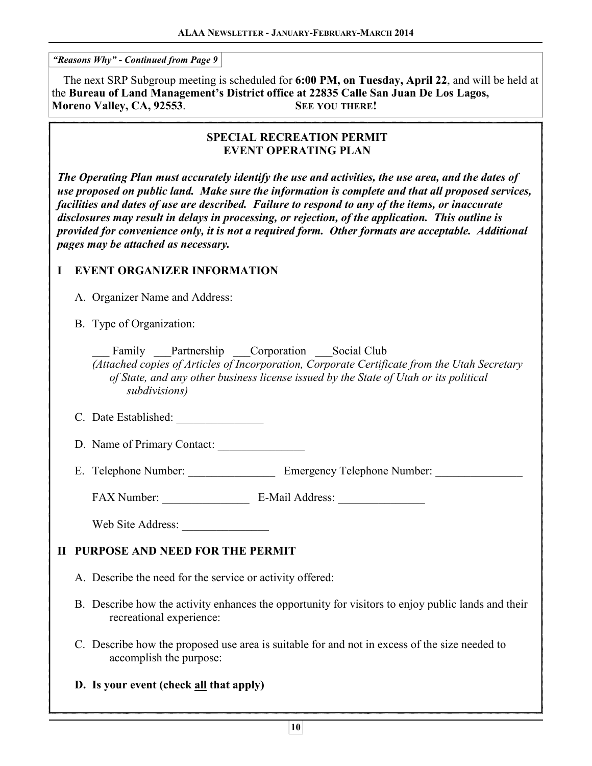$\overline{a}$ *"Reasons Why" - Continued from Page 9* 

 The next SRP Subgroup meeting is scheduled for **6:00 PM, on Tuesday, April 22**, and will be held at the **Bureau of Land Management's District office at 22835 Calle San Juan De Los Lagos, Moreno Valley, CA, 92553**. **SEE YOU THERE!** 

### **SPECIAL RECREATION PERMIT EVENT OPERATING PLAN**

*The Operating Plan must accurately identify the use and activities, the use area, and the dates of use proposed on public land. Make sure the information is complete and that all proposed services, facilities and dates of use are described. Failure to respond to any of the items, or inaccurate disclosures may result in delays in processing, or rejection, of the application. This outline is provided for convenience only, it is not a required form. Other formats are acceptable. Additional pages may be attached as necessary.* 

### **I EVENT ORGANIZER INFORMATION**

A. Organizer Name and Address:

B. Type of Organization:

Family Partnership Corporation Social Club *(Attached copies of Articles of Incorporation, Corporate Certificate from the Utah Secretary of State, and any other business license issued by the State of Utah or its political subdivisions)* 

- C. Date Established:
- D. Name of Primary Contact:

E. Telephone Number: \_\_\_\_\_\_\_\_\_\_\_\_\_\_\_\_\_\_ Emergency Telephone Number:

FAX Number: \_\_\_\_\_\_\_\_\_\_\_\_\_\_\_ E-Mail Address: \_\_\_\_\_\_\_\_\_\_\_\_\_\_\_

Web Site Address:

# **II PURPOSE AND NEED FOR THE PERMIT**

A. Describe the need for the service or activity offered:

- B. Describe how the activity enhances the opportunity for visitors to enjoy public lands and their recreational experience:
- C. Describe how the proposed use area is suitable for and not in excess of the size needed to accomplish the purpose:

### **D. Is your event (check all that apply)**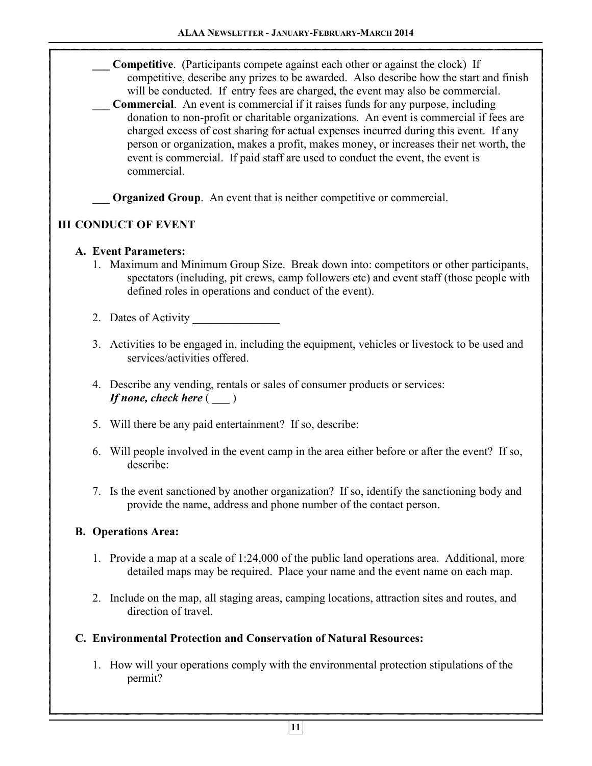**\_\_\_ Competitive**. (Participants compete against each other or against the clock) If competitive, describe any prizes to be awarded. Also describe how the start and finish will be conducted. If entry fees are charged, the event may also be commercial.

**Commercial.** An event is commercial if it raises funds for any purpose, including donation to non-profit or charitable organizations. An event is commercial if fees are charged excess of cost sharing for actual expenses incurred during this event. If any person or organization, makes a profit, makes money, or increases their net worth, the event is commercial. If paid staff are used to conduct the event, the event is commercial.

**Organized Group**. An event that is neither competitive or commercial.

# **III CONDUCT OF EVENT**

## **A. Event Parameters:**

- 1. Maximum and Minimum Group Size. Break down into: competitors or other participants, spectators (including, pit crews, camp followers etc) and event staff (those people with defined roles in operations and conduct of the event).
- 2. Dates of Activity
- 3. Activities to be engaged in, including the equipment, vehicles or livestock to be used and services/activities offered.
- 4. Describe any vending, rentals or sales of consumer products or services: *If none, check here* (  $\qquad$  )
- 5. Will there be any paid entertainment? If so, describe:
- 6. Will people involved in the event camp in the area either before or after the event? If so, describe:
- 7. Is the event sanctioned by another organization? If so, identify the sanctioning body and provide the name, address and phone number of the contact person.

# **B. Operations Area:**

- 1. Provide a map at a scale of 1:24,000 of the public land operations area. Additional, more detailed maps may be required. Place your name and the event name on each map.
- 2. Include on the map, all staging areas, camping locations, attraction sites and routes, and direction of travel.

# **C. Environmental Protection and Conservation of Natural Resources:**

 1. How will your operations comply with the environmental protection stipulations of the permit?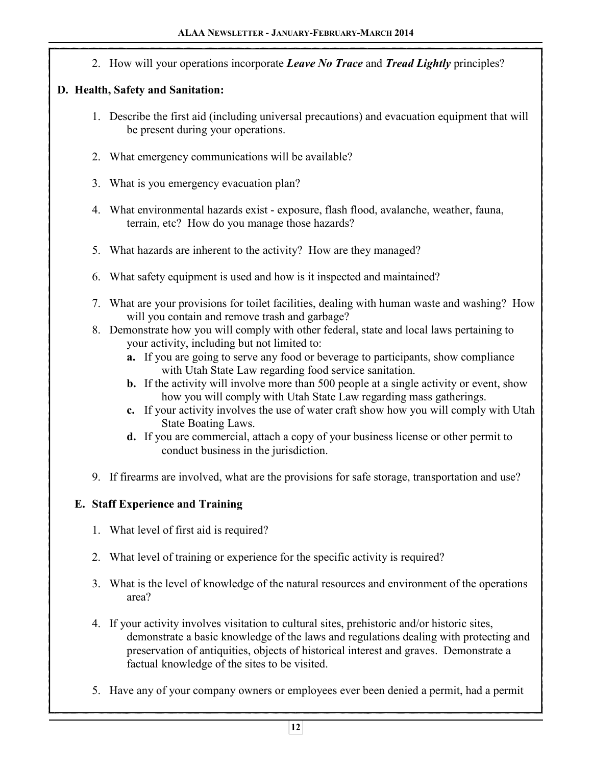2. How will your operations incorporate *Leave No Trace* and *Tread Lightly* principles?

# **D. Health, Safety and Sanitation:**

- 1. Describe the first aid (including universal precautions) and evacuation equipment that will be present during your operations.
- 2. What emergency communications will be available?
- 3. What is you emergency evacuation plan?
- 4. What environmental hazards exist exposure, flash flood, avalanche, weather, fauna, terrain, etc? How do you manage those hazards?
- 5. What hazards are inherent to the activity? How are they managed?
- 6. What safety equipment is used and how is it inspected and maintained?
- 7. What are your provisions for toilet facilities, dealing with human waste and washing? How will you contain and remove trash and garbage?
- 8. Demonstrate how you will comply with other federal, state and local laws pertaining to your activity, including but not limited to:
	- **a.** If you are going to serve any food or beverage to participants, show compliance with Utah State Law regarding food service sanitation.
	- **b.** If the activity will involve more than 500 people at a single activity or event, show how you will comply with Utah State Law regarding mass gatherings.
	- **c.** If your activity involves the use of water craft show how you will comply with Utah State Boating Laws.
	- **d.** If you are commercial, attach a copy of your business license or other permit to conduct business in the jurisdiction.
- 9. If firearms are involved, what are the provisions for safe storage, transportation and use?

# **E. Staff Experience and Training**

- 1. What level of first aid is required?
- 2. What level of training or experience for the specific activity is required?
- 3. What is the level of knowledge of the natural resources and environment of the operations area?
- 4. If your activity involves visitation to cultural sites, prehistoric and/or historic sites, demonstrate a basic knowledge of the laws and regulations dealing with protecting and preservation of antiquities, objects of historical interest and graves. Demonstrate a factual knowledge of the sites to be visited.
- 5. Have any of your company owners or employees ever been denied a permit, had a permit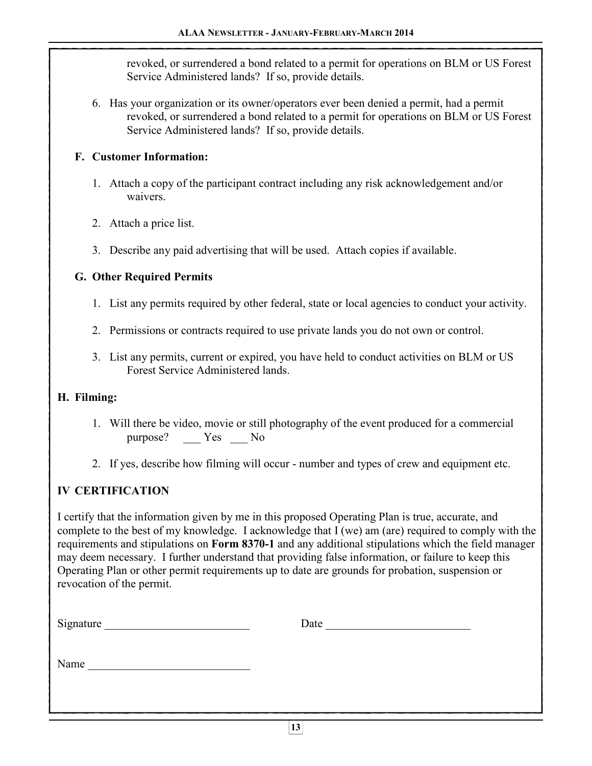revoked, or surrendered a bond related to a permit for operations on BLM or US Forest Service Administered lands? If so, provide details.

 6. Has your organization or its owner/operators ever been denied a permit, had a permit revoked, or surrendered a bond related to a permit for operations on BLM or US Forest Service Administered lands? If so, provide details.

## **F. Customer Information:**

- 1. Attach a copy of the participant contract including any risk acknowledgement and/or waivers.
- 2. Attach a price list.
- 3. Describe any paid advertising that will be used. Attach copies if available.

## **G. Other Required Permits**

- 1. List any permits required by other federal, state or local agencies to conduct your activity.
- 2. Permissions or contracts required to use private lands you do not own or control.
- 3. List any permits, current or expired, you have held to conduct activities on BLM or US Forest Service Administered lands.

### **H. Filming:**

- 1. Will there be video, movie or still photography of the event produced for a commercial purpose? Yes No
- 2. If yes, describe how filming will occur number and types of crew and equipment etc.

# **IV CERTIFICATION**

I certify that the information given by me in this proposed Operating Plan is true, accurate, and complete to the best of my knowledge. I acknowledge that I (we) am (are) required to comply with the requirements and stipulations on **Form 8370-1** and any additional stipulations which the field manager may deem necessary. I further understand that providing false information, or failure to keep this Operating Plan or other permit requirements up to date are grounds for probation, suspension or revocation of the permit.

| Signature | Date |
|-----------|------|
|           |      |
| Name      |      |
|           |      |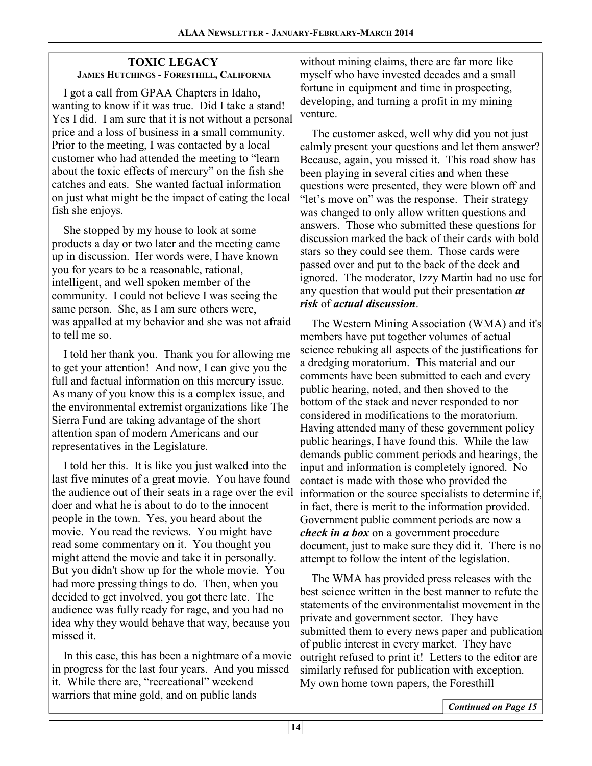### **TOXIC LEGACY JAMES HUTCHINGS - FORESTHILL, CALIFORNIA**

 I got a call from GPAA Chapters in Idaho, wanting to know if it was true. Did I take a stand! Yes I did. I am sure that it is not without a personal price and a loss of business in a small community. Prior to the meeting, I was contacted by a local customer who had attended the meeting to "learn about the toxic effects of mercury" on the fish she catches and eats. She wanted factual information on just what might be the impact of eating the local fish she enjoys.

 She stopped by my house to look at some products a day or two later and the meeting came up in discussion. Her words were, I have known you for years to be a reasonable, rational, intelligent, and well spoken member of the community. I could not believe I was seeing the same person. She, as I am sure others were, was appalled at my behavior and she was not afraid to tell me so.

 I told her thank you. Thank you for allowing me to get your attention! And now, I can give you the full and factual information on this mercury issue. As many of you know this is a complex issue, and the environmental extremist organizations like The Sierra Fund are taking advantage of the short attention span of modern Americans and our representatives in the Legislature.

 I told her this. It is like you just walked into the last five minutes of a great movie. You have found the audience out of their seats in a rage over the evil doer and what he is about to do to the innocent people in the town. Yes, you heard about the movie. You read the reviews. You might have read some commentary on it. You thought you might attend the movie and take it in personally. But you didn't show up for the whole movie. You had more pressing things to do. Then, when you decided to get involved, you got there late. The audience was fully ready for rage, and you had no idea why they would behave that way, because you missed it.

 In this case, this has been a nightmare of a movie in progress for the last four years. And you missed it. While there are, "recreational" weekend warriors that mine gold, and on public lands

without mining claims, there are far more like myself who have invested decades and a small fortune in equipment and time in prospecting, developing, and turning a profit in my mining venture.

 The customer asked, well why did you not just calmly present your questions and let them answer? Because, again, you missed it. This road show has been playing in several cities and when these questions were presented, they were blown off and "let's move on" was the response. Their strategy was changed to only allow written questions and answers. Those who submitted these questions for discussion marked the back of their cards with bold stars so they could see them. Those cards were passed over and put to the back of the deck and ignored. The moderator, Izzy Martin had no use for any question that would put their presentation *at risk* of *actual discussion*.

 The Western Mining Association (WMA) and it's members have put together volumes of actual science rebuking all aspects of the justifications for a dredging moratorium. This material and our comments have been submitted to each and every public hearing, noted, and then shoved to the bottom of the stack and never responded to nor considered in modifications to the moratorium. Having attended many of these government policy public hearings, I have found this. While the law demands public comment periods and hearings, the input and information is completely ignored. No contact is made with those who provided the information or the source specialists to determine if, in fact, there is merit to the information provided. Government public comment periods are now a *check in a box* on a government procedure document, just to make sure they did it. There is no attempt to follow the intent of the legislation.

 The WMA has provided press releases with the best science written in the best manner to refute the statements of the environmentalist movement in the private and government sector. They have submitted them to every news paper and publication of public interest in every market. They have outright refused to print it! Letters to the editor are similarly refused for publication with exception. My own home town papers, the Foresthill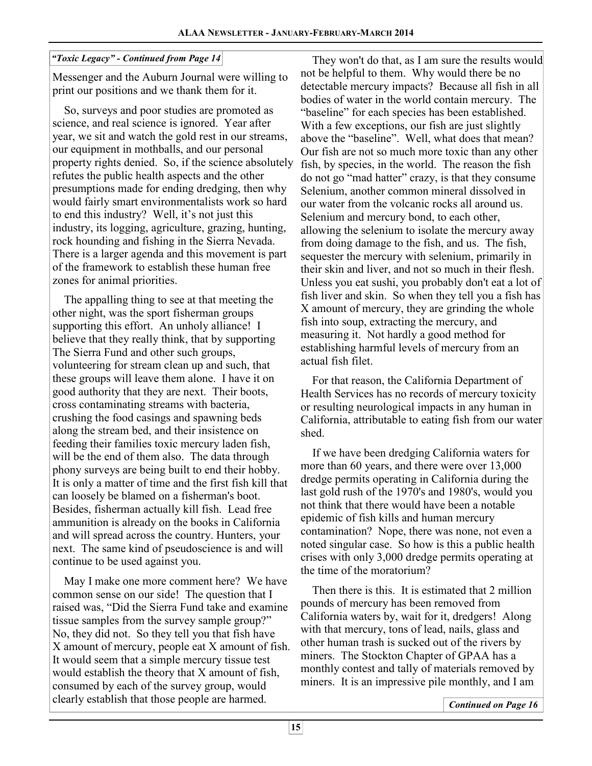### *"Toxic Legacy" - Continued from Page 14*

Messenger and the Auburn Journal were willing to print our positions and we thank them for it.

 So, surveys and poor studies are promoted as science, and real science is ignored. Year after year, we sit and watch the gold rest in our streams, our equipment in mothballs, and our personal property rights denied. So, if the science absolutely refutes the public health aspects and the other presumptions made for ending dredging, then why would fairly smart environmentalists work so hard to end this industry? Well, it's not just this industry, its logging, agriculture, grazing, hunting, rock hounding and fishing in the Sierra Nevada. There is a larger agenda and this movement is part of the framework to establish these human free zones for animal priorities.

 The appalling thing to see at that meeting the other night, was the sport fisherman groups supporting this effort. An unholy alliance! I believe that they really think, that by supporting The Sierra Fund and other such groups, volunteering for stream clean up and such, that these groups will leave them alone. I have it on good authority that they are next. Their boots, cross contaminating streams with bacteria, crushing the food casings and spawning beds along the stream bed, and their insistence on feeding their families toxic mercury laden fish, will be the end of them also. The data through phony surveys are being built to end their hobby. It is only a matter of time and the first fish kill that can loosely be blamed on a fisherman's boot. Besides, fisherman actually kill fish. Lead free ammunition is already on the books in California and will spread across the country. Hunters, your next. The same kind of pseudoscience is and will continue to be used against you.

 May I make one more comment here? We have common sense on our side! The question that I raised was, "Did the Sierra Fund take and examine tissue samples from the survey sample group?" No, they did not. So they tell you that fish have X amount of mercury, people eat X amount of fish. It would seem that a simple mercury tissue test would establish the theory that X amount of fish, consumed by each of the survey group, would clearly establish that those people are harmed.

 They won't do that, as I am sure the results would not be helpful to them. Why would there be no detectable mercury impacts? Because all fish in all bodies of water in the world contain mercury. The "baseline" for each species has been established. With a few exceptions, our fish are just slightly above the "baseline". Well, what does that mean? Our fish are not so much more toxic than any other fish, by species, in the world. The reason the fish do not go "mad hatter" crazy, is that they consume Selenium, another common mineral dissolved in our water from the volcanic rocks all around us. Selenium and mercury bond, to each other, allowing the selenium to isolate the mercury away from doing damage to the fish, and us. The fish, sequester the mercury with selenium, primarily in their skin and liver, and not so much in their flesh. Unless you eat sushi, you probably don't eat a lot of fish liver and skin. So when they tell you a fish has X amount of mercury, they are grinding the whole fish into soup, extracting the mercury, and measuring it. Not hardly a good method for establishing harmful levels of mercury from an actual fish filet.

 For that reason, the California Department of Health Services has no records of mercury toxicity or resulting neurological impacts in any human in California, attributable to eating fish from our water shed.

 If we have been dredging California waters for more than 60 years, and there were over 13,000 dredge permits operating in California during the last gold rush of the 1970's and 1980's, would you not think that there would have been a notable epidemic of fish kills and human mercury contamination? Nope, there was none, not even a noted singular case. So how is this a public health crises with only 3,000 dredge permits operating at the time of the moratorium?

 Then there is this. It is estimated that 2 million pounds of mercury has been removed from California waters by, wait for it, dredgers! Along with that mercury, tons of lead, nails, glass and other human trash is sucked out of the rivers by miners. The Stockton Chapter of GPAA has a monthly contest and tally of materials removed by miners. It is an impressive pile monthly, and I am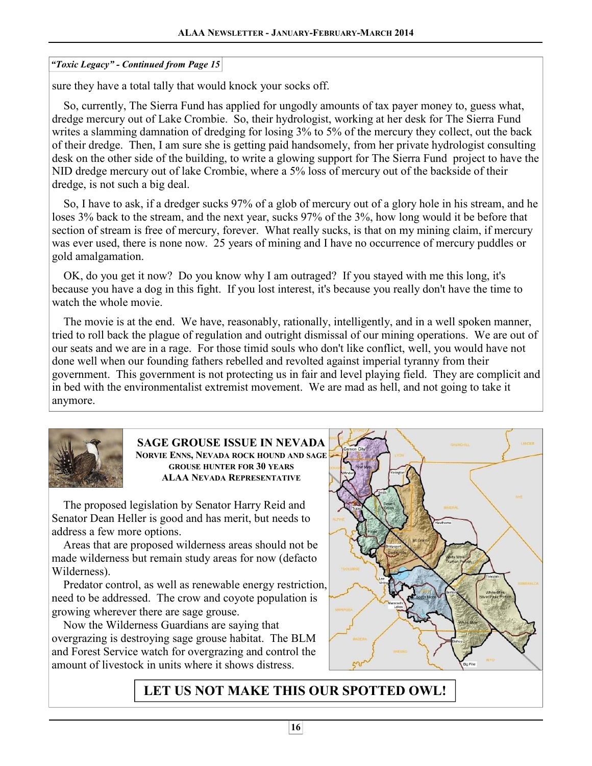### *"Toxic Legacy" - Continued from Page 15*

sure they have a total tally that would knock your socks off.

 So, currently, The Sierra Fund has applied for ungodly amounts of tax payer money to, guess what, dredge mercury out of Lake Crombie. So, their hydrologist, working at her desk for The Sierra Fund writes a slamming damnation of dredging for losing 3% to 5% of the mercury they collect, out the back of their dredge. Then, I am sure she is getting paid handsomely, from her private hydrologist consulting desk on the other side of the building, to write a glowing support for The Sierra Fund project to have the NID dredge mercury out of lake Crombie, where a 5% loss of mercury out of the backside of their dredge, is not such a big deal.

 So, I have to ask, if a dredger sucks 97% of a glob of mercury out of a glory hole in his stream, and he loses 3% back to the stream, and the next year, sucks 97% of the 3%, how long would it be before that section of stream is free of mercury, forever. What really sucks, is that on my mining claim, if mercury was ever used, there is none now. 25 years of mining and I have no occurrence of mercury puddles or gold amalgamation.

 OK, do you get it now? Do you know why I am outraged? If you stayed with me this long, it's because you have a dog in this fight. If you lost interest, it's because you really don't have the time to watch the whole movie.

 The movie is at the end. We have, reasonably, rationally, intelligently, and in a well spoken manner, tried to roll back the plague of regulation and outright dismissal of our mining operations. We are out of our seats and we are in a rage. For those timid souls who don't like conflict, well, you would have not done well when our founding fathers rebelled and revolted against imperial tyranny from their government. This government is not protecting us in fair and level playing field. They are complicit and in bed with the environmentalist extremist movement. We are mad as hell, and not going to take it anymore.

![](_page_15_Picture_7.jpeg)

**SAGE GROUSE ISSUE IN NEVADA NORVIE ENNS, NEVADA ROCK HOUND AND SAGE GROUSE HUNTER FOR 30 YEARS ALAA NEVADA REPRESENTATIVE**

 The proposed legislation by Senator Harry Reid and Senator Dean Heller is good and has merit, but needs to address a few more options.

 Areas that are proposed wilderness areas should not be made wilderness but remain study areas for now (defacto Wilderness).

 Predator control, as well as renewable energy restriction, need to be addressed. The crow and coyote population is growing wherever there are sage grouse.

 Now the Wilderness Guardians are saying that overgrazing is destroying sage grouse habitat. The BLM and Forest Service watch for overgrazing and control the amount of livestock in units where it shows distress.

![](_page_15_Figure_13.jpeg)

# **LET US NOT MAKE THIS OUR SPOTTED OWL!**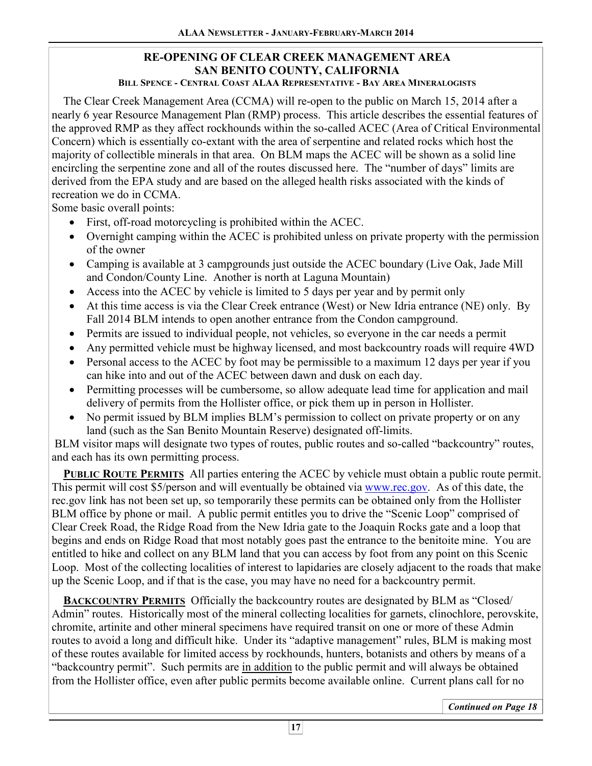#### **RE-OPENING OF CLEAR CREEK MANAGEMENT AREA SAN BENITO COUNTY, CALIFORNIA BILL SPENCE - CENTRAL COAST ALAA REPRESENTATIVE - BAY AREA MINERALOGISTS**

 The Clear Creek Management Area (CCMA) will re-open to the public on March 15, 2014 after a nearly 6 year Resource Management Plan (RMP) process. This article describes the essential features of the approved RMP as they affect rockhounds within the so-called ACEC (Area of Critical Environmental Concern) which is essentially co-extant with the area of serpentine and related rocks which host the majority of collectible minerals in that area. On BLM maps the ACEC will be shown as a solid line encircling the serpentine zone and all of the routes discussed here. The "number of days" limits are derived from the EPA study and are based on the alleged health risks associated with the kinds of recreation we do in CCMA.

Some basic overall points:

- First, off-road motorcycling is prohibited within the ACEC.
- Overnight camping within the ACEC is prohibited unless on private property with the permission of the owner
- Camping is available at 3 campgrounds just outside the ACEC boundary (Live Oak, Jade Mill) and Condon/County Line. Another is north at Laguna Mountain)
- Access into the ACEC by vehicle is limited to 5 days per year and by permit only
- At this time access is via the Clear Creek entrance (West) or New Idria entrance (NE) only. By Fall 2014 BLM intends to open another entrance from the Condon campground.
- Permits are issued to individual people, not vehicles, so everyone in the car needs a permit
- Any permitted vehicle must be highway licensed, and most backcountry roads will require 4WD
- Personal access to the ACEC by foot may be permissible to a maximum 12 days per year if you can hike into and out of the ACEC between dawn and dusk on each day.
- Permitting processes will be cumbersome, so allow adequate lead time for application and mail delivery of permits from the Hollister office, or pick them up in person in Hollister.
- No permit issued by BLM implies BLM's permission to collect on private property or on any land (such as the San Benito Mountain Reserve) designated off-limits.

 BLM visitor maps will designate two types of routes, public routes and so-called "backcountry" routes, and each has its own permitting process.

 **PUBLIC ROUTE PERMITS** All parties entering the ACEC by vehicle must obtain a public route permit. This permit will cost \$5/person and will eventually be obtained via www.rec.gov. As of this date, the rec.gov link has not been set up, so temporarily these permits can be obtained only from the Hollister BLM office by phone or mail. A public permit entitles you to drive the "Scenic Loop" comprised of Clear Creek Road, the Ridge Road from the New Idria gate to the Joaquin Rocks gate and a loop that begins and ends on Ridge Road that most notably goes past the entrance to the benitoite mine. You are entitled to hike and collect on any BLM land that you can access by foot from any point on this Scenic Loop. Most of the collecting localities of interest to lapidaries are closely adjacent to the roads that make up the Scenic Loop, and if that is the case, you may have no need for a backcountry permit.

 **BACKCOUNTRY PERMITS** Officially the backcountry routes are designated by BLM as "Closed/ Admin" routes. Historically most of the mineral collecting localities for garnets, clinochlore, perovskite, chromite, artinite and other mineral specimens have required transit on one or more of these Admin routes to avoid a long and difficult hike. Under its "adaptive management" rules, BLM is making most of these routes available for limited access by rockhounds, hunters, botanists and others by means of a "backcountry permit". Such permits are in addition to the public permit and will always be obtained from the Hollister office, even after public permits become available online. Current plans call for no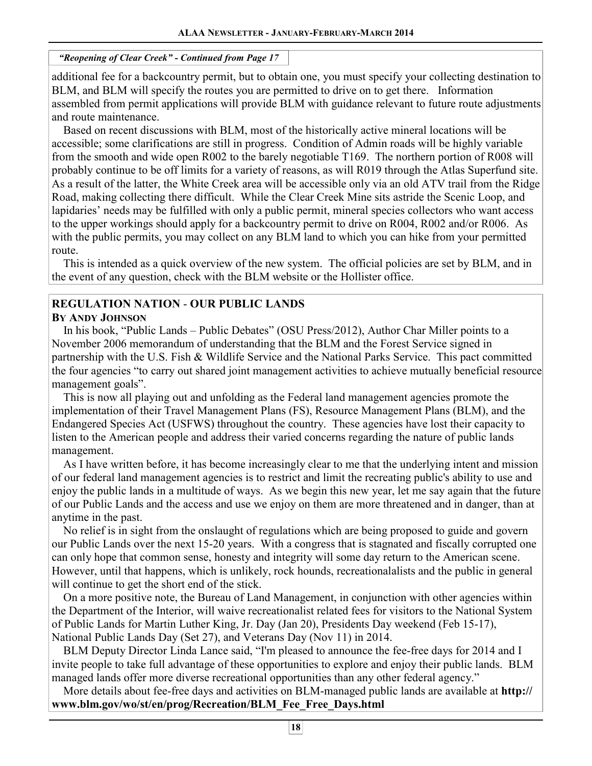### *"Reopening of Clear Creek" - Continued from Page 17*

 $\overline{a}$ additional fee for a backcountry permit, but to obtain one, you must specify your collecting destination to BLM, and BLM will specify the routes you are permitted to drive on to get there. Information assembled from permit applications will provide BLM with guidance relevant to future route adjustments and route maintenance.

 Based on recent discussions with BLM, most of the historically active mineral locations will be accessible; some clarifications are still in progress. Condition of Admin roads will be highly variable from the smooth and wide open R002 to the barely negotiable T169. The northern portion of R008 will probably continue to be off limits for a variety of reasons, as will R019 through the Atlas Superfund site. As a result of the latter, the White Creek area will be accessible only via an old ATV trail from the Ridge Road, making collecting there difficult. While the Clear Creek Mine sits astride the Scenic Loop, and lapidaries' needs may be fulfilled with only a public permit, mineral species collectors who want access to the upper workings should apply for a backcountry permit to drive on R004, R002 and/or R006. As with the public permits, you may collect on any BLM land to which you can hike from your permitted route.

 This is intended as a quick overview of the new system. The official policies are set by BLM, and in the event of any question, check with the BLM website or the Hollister office.

# **REGULATION NATION** - **OUR PUBLIC LANDS**

### **BY ANDY JOHNSON**

 In his book, "Public Lands – Public Debates" (OSU Press/2012), Author Char Miller points to a November 2006 memorandum of understanding that the BLM and the Forest Service signed in partnership with the U.S. Fish & Wildlife Service and the National Parks Service. This pact committed the four agencies "to carry out shared joint management activities to achieve mutually beneficial resource management goals".

 This is now all playing out and unfolding as the Federal land management agencies promote the implementation of their Travel Management Plans (FS), Resource Management Plans (BLM), and the Endangered Species Act (USFWS) throughout the country. These agencies have lost their capacity to listen to the American people and address their varied concerns regarding the nature of public lands management.

 As I have written before, it has become increasingly clear to me that the underlying intent and mission of our federal land management agencies is to restrict and limit the recreating public's ability to use and enjoy the public lands in a multitude of ways. As we begin this new year, let me say again that the future of our Public Lands and the access and use we enjoy on them are more threatened and in danger, than at anytime in the past.

 No relief is in sight from the onslaught of regulations which are being proposed to guide and govern our Public Lands over the next 15-20 years. With a congress that is stagnated and fiscally corrupted one can only hope that common sense, honesty and integrity will some day return to the American scene. However, until that happens, which is unlikely, rock hounds, recreationalalists and the public in general will continue to get the short end of the stick.

 On a more positive note, the Bureau of Land Management, in conjunction with other agencies within the Department of the Interior, will waive recreationalist related fees for visitors to the National System of Public Lands for Martin Luther King, Jr. Day (Jan 20), Presidents Day weekend (Feb 15-17), National Public Lands Day (Set 27), and Veterans Day (Nov 11) in 2014.

 BLM Deputy Director Linda Lance said, "I'm pleased to announce the fee-free days for 2014 and I invite people to take full advantage of these opportunities to explore and enjoy their public lands. BLM managed lands offer more diverse recreational opportunities than any other federal agency."

 More details about fee-free days and activities on BLM-managed public lands are available at **http:// www.blm.gov/wo/st/en/prog/Recreation/BLM\_Fee\_Free\_Days.html**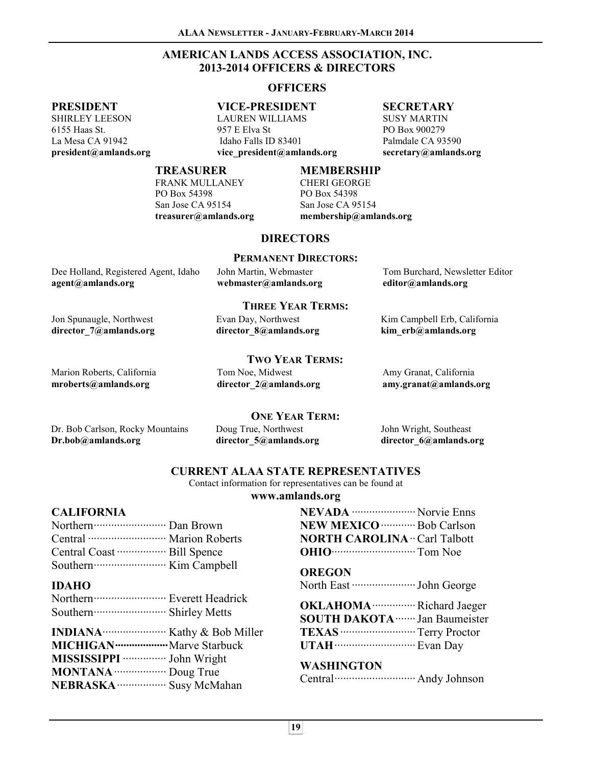### **AMERICAN LANDS ACCESS ASSOCIATION, INC. 2013-2014 OFFICERS & DIRECTORS**

#### **OFFICERS**

#### **PRESIDENT**

SHIRLEY LEESON 6155 Haas St. La Mesa CA 91942 **president@amlands.org**  **VICE-PRESIDENT** 

LAUREN WILLIAMS 957 E Elva St Idaho Falls ID 83401 **vice\_president@amlands.org** 

### **SECRETARY**

SUSY MARTIN PO Box 900279 Palmdale CA 93590 **secretary@amlands.org** 

#### **TREASURER**

FRANK MULLANEY PO Box 54398 San Jose CA 95154 **treasurer@amlands.org** 

#### **MEMBERSHIP**

CHERI GEORGE PO Box 54398 San Jose CA 95154 **membership@amlands.org** 

### **DIRECTORS**

#### **PERMANENT DIRECTORS:**

| Dee Holland, Registered Agent, Idaho | John Martin, Webmaster | Tom Burchard, Newsletter Editor |
|--------------------------------------|------------------------|---------------------------------|
| agent@amlands.org                    | webmaster@amlands.org  | editor@amlands.org              |

#### **THREE YEAR TERMS:**

Evan Day, Northwest **director\_8@amlands.org**  Kim Campbell Erb, California **kim\_erb@amlands.org** 

### **TWO YEAR TERMS:**

Marion Roberts, California **mroberts@amlands.org** 

Jon Spunaugle, Northwest **director\_7@amlands.org** 

> Tom Noe, Midwest **director\_2@amlands.org**

Amy Granat, California **amy.granat@amlands.org** 

**ONE YEAR TERM:** 

Dr. Bob Carlson, Rocky Mountains **Dr.bob@amlands.org** 

Doug True, Northwest **director\_5@amlands.org** 

John Wright, Southeast **director\_6@amlands.org** 

### **CURRENT ALAA STATE REPRESENTATIVES**

Contact information for representatives can be found at

#### **www.amlands.org**

#### **CALIFORNIA**

#### **IDAHO**

| MISSISSIPPI ················ John Wright |  |
|------------------------------------------|--|
| <b>MONTANA</b> Doug True                 |  |
| NEBRASKA ·················· Susy McMahan |  |

| <b>NEVADA</b> Norvie Enns                    |  |
|----------------------------------------------|--|
| <b>NEW MEXICO</b> ·············· Bob Carlson |  |
| <b>NORTH CAROLINA ·· Carl Talbott</b>        |  |
| <b>OHIO CONSERVING</b> Tom Noe               |  |

**OREGON**  North East ······················ John George

**OKLAHOMA**··············· Richard Jaeger **SOUTH DAKOTA**······· Jan Baumeister **TEXAS**·························· Terry Proctor **UTAH**···························· Evan Day

### **WASHINGTON**

Central···························· Andy Johnson